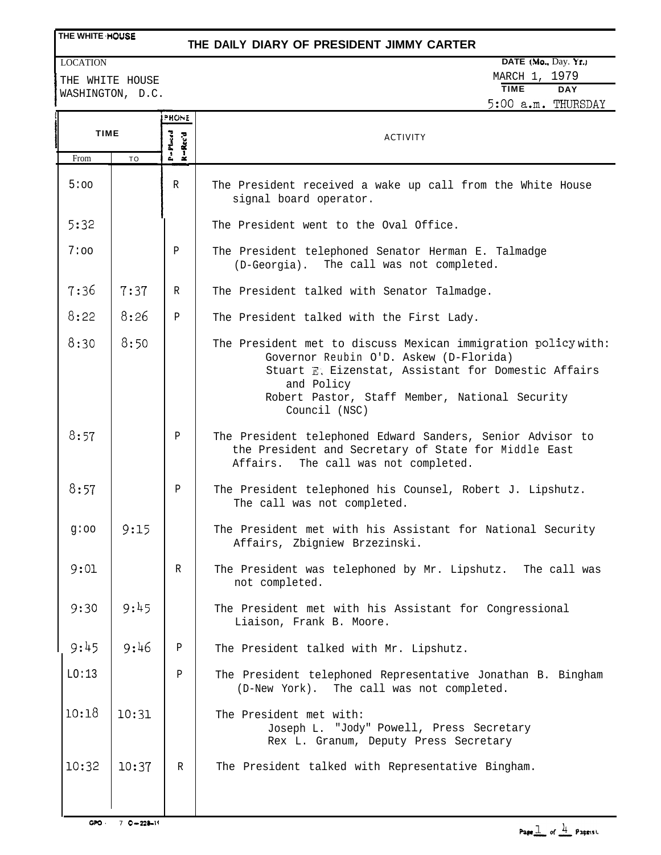#### **THE WHITE NOUSE**

#### **THE DAILY DIARY OF PRESIDENT JIMMY CARTER**

**<sup>I</sup>** THE WHITE HOUSE WASHINGTON, D.C.

### **DATE (Mo., Day. Yr.) DATE (Mo., Day. Yr.)** MARCH 1, 1979<br>TIME DAY **TIME DAY** 5:00 a.m. THURSDAY

|             |           |                                       | 5:UU a.m. THURSDAY                                                                                                                                                                                                                              |
|-------------|-----------|---------------------------------------|-------------------------------------------------------------------------------------------------------------------------------------------------------------------------------------------------------------------------------------------------|
|             |           | PHONE                                 |                                                                                                                                                                                                                                                 |
| <b>TIME</b> |           | P=Placed<br>$\kappa - \kappa_{cc}$ 'd | <b>ACTIVITY</b>                                                                                                                                                                                                                                 |
| From        | <b>TO</b> |                                       |                                                                                                                                                                                                                                                 |
| 5:00        |           | R                                     | The President received a wake up call from the White House<br>signal board operator.                                                                                                                                                            |
| 5:32        |           |                                       | The President went to the Oval Office.                                                                                                                                                                                                          |
| 7:00        |           | Ρ                                     | The President telephoned Senator Herman E. Talmadge<br>(D-Georgia). The call was not completed.                                                                                                                                                 |
| 7:36        | 7:37      | $\mathbb{R}$                          | The President talked with Senator Talmadge.                                                                                                                                                                                                     |
| 8:22        | 8:26      | $\mathbf P$                           | The President talked with the First Lady.                                                                                                                                                                                                       |
| 8:30        | 8:50      |                                       | The President met to discuss Mexican immigration policy with:<br>Governor Reubin O'D. Askew (D-Florida)<br>Stuart E. Eizenstat, Assistant for Domestic Affairs<br>and Policy<br>Robert Pastor, Staff Member, National Security<br>Council (NSC) |
| 8:57        |           | $\mathbf P$                           | The President telephoned Edward Sanders, Senior Advisor to<br>the President and Secretary of State for Middle East<br>The call was not completed.<br>Affairs.                                                                                   |
| 8:57        |           | $\mathbf P$                           | The President telephoned his Counsel, Robert J. Lipshutz.<br>The call was not completed.                                                                                                                                                        |
| g:oo        | 9:15      |                                       | The President met with his Assistant for National Security<br>Affairs, Zbigniew Brzezinski.                                                                                                                                                     |
| 9:01        |           | R                                     | The President was telephoned by Mr. Lipshutz. The call was<br>not completed.                                                                                                                                                                    |
| 9:30        | 9:45      |                                       | The President met with his Assistant for Congressional<br>Liaison, Frank B. Moore.                                                                                                                                                              |
| 9:45        | 9:46      | Ρ                                     | The President talked with Mr. Lipshutz.                                                                                                                                                                                                         |
| LO:13       |           | Ρ                                     | The President telephoned Representative Jonathan B. Bingham<br>(D-New York). The call was not completed.                                                                                                                                        |
| 10:18       | 10:31     |                                       | The President met with:<br>Joseph L. "Jody" Powell, Press Secretary<br>Rex L. Granum, Deputy Press Secretary                                                                                                                                    |
| 10:32       | 10:37     | R                                     | The President talked with Representative Bingham.                                                                                                                                                                                               |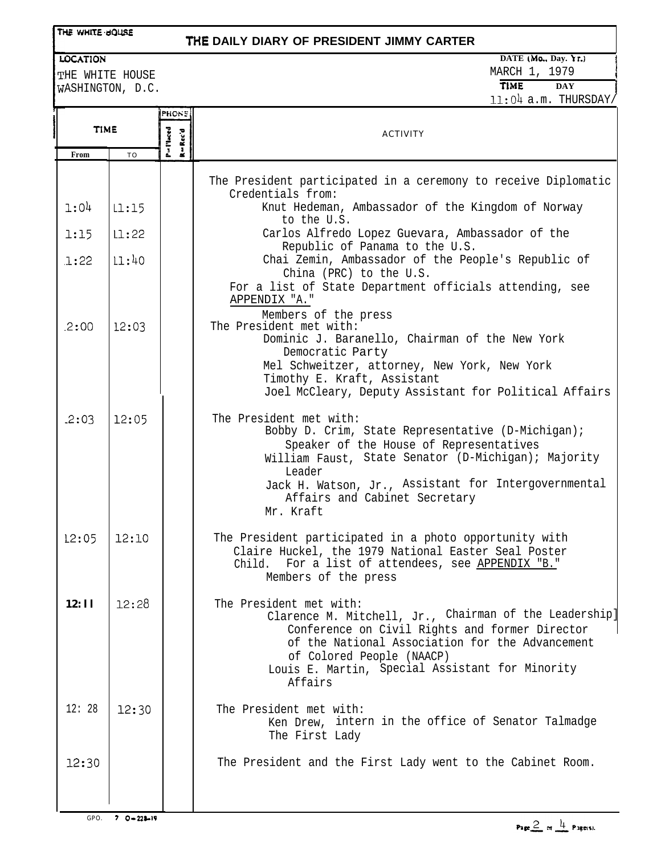#### THE WHITE UOUSE

#### **THE DAILY DIARY OF PRESIDENT JIMMY CARTER**

LOCATION

THE WHITE HOUSE ASHINGTON, D.C.

#### **DATE MO.. Day. \r.) !**

MARCH 1, 1979 <sup>j</sup> **TIME DAY** 11:04 a.m. THURSDAY/

**I**

| <b>TIME</b> |                 | PHONE              |                                                                                                                                                                                                                                                                                                |
|-------------|-----------------|--------------------|------------------------------------------------------------------------------------------------------------------------------------------------------------------------------------------------------------------------------------------------------------------------------------------------|
|             |                 | P=Theed<br>R-Rec'd | <b>ACTIVITY</b>                                                                                                                                                                                                                                                                                |
| From        | TO              |                    |                                                                                                                                                                                                                                                                                                |
|             |                 |                    | The President participated in a ceremony to receive Diplomatic<br>Credentials from:                                                                                                                                                                                                            |
| 1:04        | L1:15           |                    | Knut Hedeman, Ambassador of the Kingdom of Norway<br>to the U.S.                                                                                                                                                                                                                               |
| 1:15        | LI:22           |                    | Carlos Alfredo Lopez Guevara, Ambassador of the<br>Republic of Panama to the U.S.                                                                                                                                                                                                              |
| 1:22        | 11:40           |                    | Chai Zemin, Ambassador of the People's Republic of<br>China (PRC) to the U.S.<br>For a list of State Department officials attending, see<br>APPENDIX "A."<br>Members of the press                                                                                                              |
| 2:00        | 12:03           |                    | The President met with:<br>Dominic J. Baranello, Chairman of the New York<br>Democratic Party<br>Mel Schweitzer, attorney, New York, New York<br>Timothy E. Kraft, Assistant<br>Joel McCleary, Deputy Assistant for Political Affairs                                                          |
| .2:03       | 12:05           |                    | The President met with:<br>Bobby D. Crim, State Representative (D-Michigan);<br>Speaker of the House of Representatives<br>William Faust, State Senator (D-Michigan); Majority<br>Leader<br>Jack H. Watson, Jr., Assistant for Intergovernmental<br>Affairs and Cabinet Secretary<br>Mr. Kraft |
| 12:05       | 12:10           |                    | The President participated in a photo opportunity with<br>Claire Huckel, the 1979 National Easter Seal Poster<br>Child. For a list of attendees, see APPENDIX "B."<br>Members of the press                                                                                                     |
| 12:11       | 12:28           |                    | The President met with:<br>Clarence M. Mitchell, Jr., Chairman of the Leadership]<br>Conference on Civil Rights and former Director<br>of the National Association for the Advancement<br>of Colored People (NAACP)<br>Louis E. Martin, Special Assistant for Minority<br>Affairs              |
| 12:28       | 12:30           |                    | The President met with:<br>Ken Drew, intern in the office of Senator Talmadge<br>The First Lady                                                                                                                                                                                                |
| 12:30       |                 |                    | The President and the First Lady went to the Cabinet Room.                                                                                                                                                                                                                                     |
| GPO.        | $70 - 223 - 19$ |                    |                                                                                                                                                                                                                                                                                                |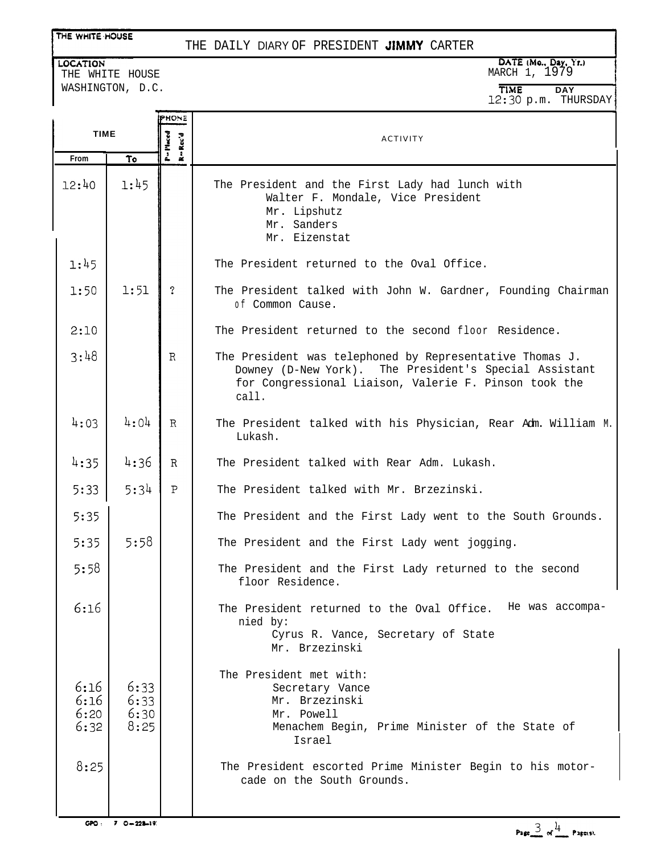#### THE WHITE HOUSE

#### THE DAILY DIARY OF PRESIDENT JIMMY CARTER

**LOCATION** THE WHITE HOUSE WASHINGTON, D.C.

# **DATE (Mo., Day, Yr.)**<br>MARCH 1, 1979

**TlME DAY** 12:30 p.m. THURSDAY

|                              |                              | PHONE               |                                                                                                                                                                                      |
|------------------------------|------------------------------|---------------------|--------------------------------------------------------------------------------------------------------------------------------------------------------------------------------------|
| <b>TIME</b>                  |                              | P=Placed<br>R=Rec'd | <b>ACTIVITY</b>                                                                                                                                                                      |
| <b>From</b>                  | To                           |                     |                                                                                                                                                                                      |
| 12:40                        | 1:45                         |                     | The President and the First Lady had lunch with<br>Walter F. Mondale, Vice President<br>Mr. Lipshutz<br>Mr. Sanders<br>Mr. Eizenstat                                                 |
| 1:45                         |                              |                     | The President returned to the Oval Office.                                                                                                                                           |
| 1:50                         | 1:51                         | $\tilde{?}$         | The President talked with John W. Gardner, Founding Chairman<br>of Common Cause.                                                                                                     |
| 2:10                         |                              |                     | The President returned to the second floor Residence.                                                                                                                                |
| 3:48                         |                              | R                   | The President was telephoned by Representative Thomas J.<br>Downey (D-New York). The President's Special Assistant<br>for Congressional Liaison, Valerie F. Pinson took the<br>call. |
| 4:03                         | 4:04                         | $\mathbf{R}$        | The President talked with his Physician, Rear Adm. William M.<br>Lukash.                                                                                                             |
| 4:35                         | 4:36                         | $\mathbb{R}$        | The President talked with Rear Adm. Lukash.                                                                                                                                          |
| 5:33                         | 5:34                         | $\mathsf{P}$        | The President talked with Mr. Brzezinski.                                                                                                                                            |
| 5:35                         |                              |                     | The President and the First Lady went to the South Grounds.                                                                                                                          |
| 5:35                         | 5:58                         |                     | The President and the First Lady went jogging.                                                                                                                                       |
| 5:58                         |                              |                     | The President and the First Lady returned to the second<br>floor Residence.                                                                                                          |
| 6:16                         |                              |                     | The President returned to the Oval Office. He was accompa-<br>nied by:<br>Cyrus R. Vance, Secretary of State<br>Mr. Brzezinski                                                       |
| 6:16<br>6:16<br>6:20<br>6:32 | 6:33<br>6:33<br>6:30<br>8:25 |                     | The President met with:<br>Secretary Vance<br>Mr. Brzezinski<br>Mr. Powell<br>Menachem Begin, Prime Minister of the State of<br>Israel                                               |
| 8:25                         |                              |                     | The President escorted Prime Minister Begin to his motor-<br>cade on the South Grounds.                                                                                              |